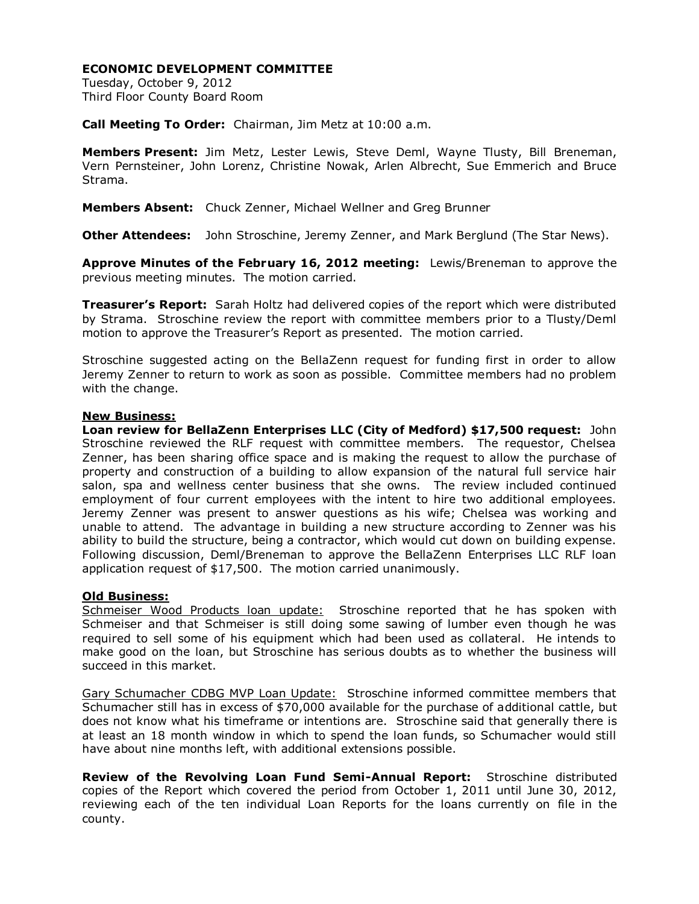## **ECONOMIC DEVELOPMENT COMMITTEE**

Tuesday, October 9, 2012 Third Floor County Board Room

**Call Meeting To Order:** Chairman, Jim Metz at 10:00 a.m.

**Members Present:** Jim Metz, Lester Lewis, Steve Deml, Wayne Tlusty, Bill Breneman, Vern Pernsteiner, John Lorenz, Christine Nowak, Arlen Albrecht, Sue Emmerich and Bruce Strama.

**Members Absent:** Chuck Zenner, Michael Wellner and Greg Brunner

**Other Attendees:** John Stroschine, Jeremy Zenner, and Mark Berglund (The Star News).

**Approve Minutes of the February 16, 2012 meeting:** Lewis/Breneman to approve the previous meeting minutes. The motion carried.

**Treasurer's Report:** Sarah Holtz had delivered copies of the report which were distributed by Strama. Stroschine review the report with committee members prior to a Tlusty/Deml motion to approve the Treasurer's Report as presented. The motion carried.

Stroschine suggested acting on the BellaZenn request for funding first in order to allow Jeremy Zenner to return to work as soon as possible. Committee members had no problem with the change.

## **New Business:**

**Loan review for BellaZenn Enterprises LLC (City of Medford) \$17,500 request:** John Stroschine reviewed the RLF request with committee members. The requestor, Chelsea Zenner, has been sharing office space and is making the request to allow the purchase of property and construction of a building to allow expansion of the natural full service hair salon, spa and wellness center business that she owns. The review included continued employment of four current employees with the intent to hire two additional employees. Jeremy Zenner was present to answer questions as his wife; Chelsea was working and unable to attend. The advantage in building a new structure according to Zenner was his ability to build the structure, being a contractor, which would cut down on building expense. Following discussion, Deml/Breneman to approve the BellaZenn Enterprises LLC RLF loan application request of \$17,500. The motion carried unanimously.

## **Old Business:**

Schmeiser Wood Products loan update: Stroschine reported that he has spoken with Schmeiser and that Schmeiser is still doing some sawing of lumber even though he was required to sell some of his equipment which had been used as collateral. He intends to make good on the loan, but Stroschine has serious doubts as to whether the business will succeed in this market.

Gary Schumacher CDBG MVP Loan Update: Stroschine informed committee members that Schumacher still has in excess of \$70,000 available for the purchase of additional cattle, but does not know what his timeframe or intentions are. Stroschine said that generally there is at least an 18 month window in which to spend the loan funds, so Schumacher would still have about nine months left, with additional extensions possible.

**Review of the Revolving Loan Fund Semi-Annual Report:** Stroschine distributed copies of the Report which covered the period from October 1, 2011 until June 30, 2012, reviewing each of the ten individual Loan Reports for the loans currently on file in the county.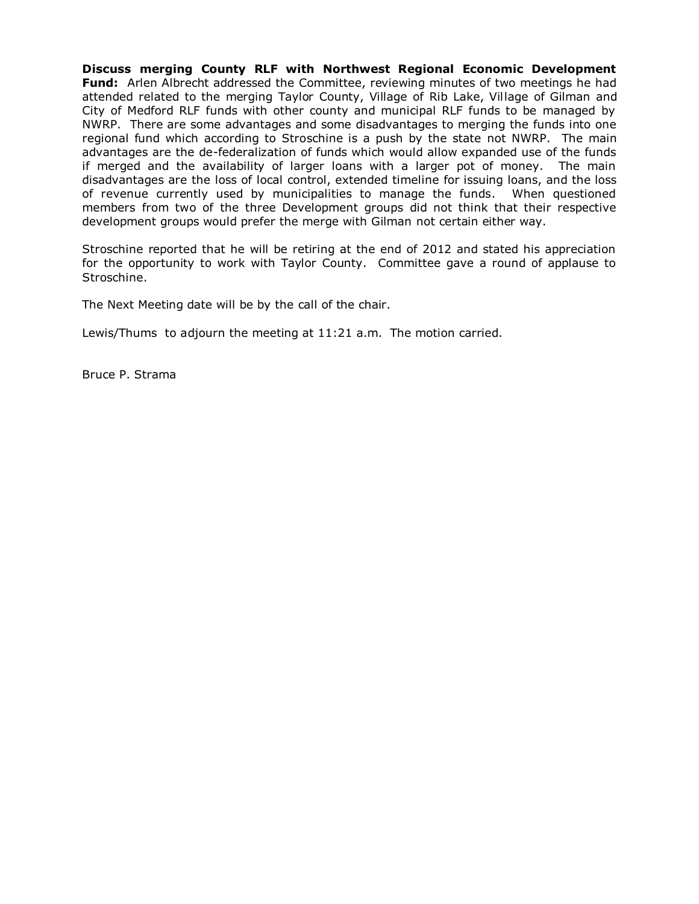**Discuss merging County RLF with Northwest Regional Economic Development Fund:** Arlen Albrecht addressed the Committee, reviewing minutes of two meetings he had attended related to the merging Taylor County, Village of Rib Lake, Village of Gilman and City of Medford RLF funds with other county and municipal RLF funds to be managed by NWRP. There are some advantages and some disadvantages to merging the funds into one regional fund which according to Stroschine is a push by the state not NWRP. The main advantages are the de-federalization of funds which would allow expanded use of the funds if merged and the availability of larger loans with a larger pot of money. The main disadvantages are the loss of local control, extended timeline for issuing loans, and the loss of revenue currently used by municipalities to manage the funds. When questioned members from two of the three Development groups did not think that their respective development groups would prefer the merge with Gilman not certain either way.

Stroschine reported that he will be retiring at the end of 2012 and stated his appreciation for the opportunity to work with Taylor County. Committee gave a round of applause to Stroschine.

The Next Meeting date will be by the call of the chair.

Lewis/Thums to adjourn the meeting at 11:21 a.m. The motion carried.

Bruce P. Strama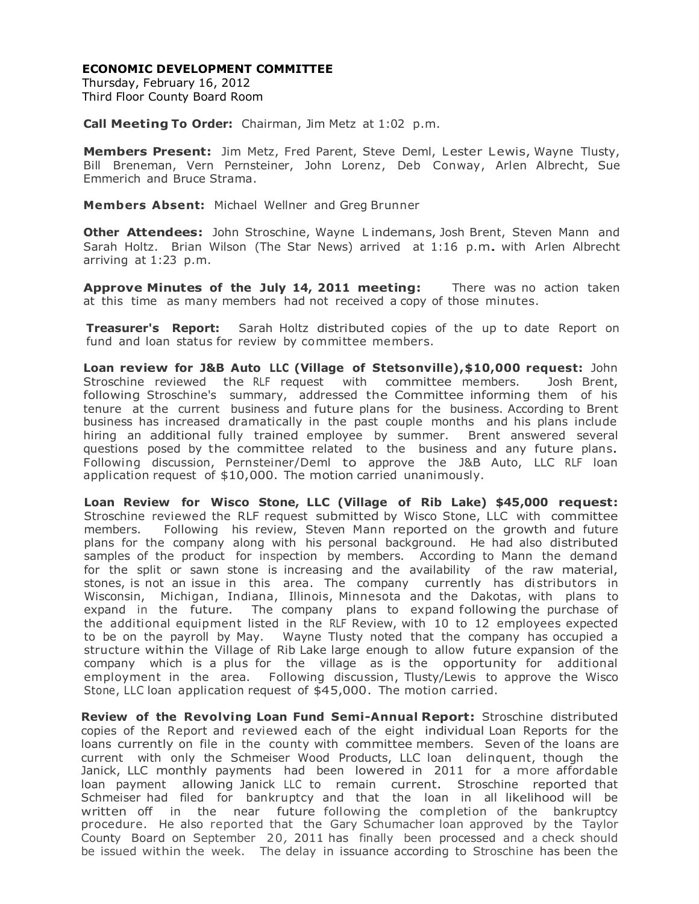## **ECONOMIC DEVELOPMENT COMMITTEE**

Thursday, February 16, 2012 Third Floor County Board Room

**Call Meeting To Order:** Chairman, Jim Metz at 1:02 p.m.

**Members Present:** Jim Metz, Fred Parent, Steve Deml, Lester Lewis, Wayne Tlusty, Bill Breneman, Vern Pernsteiner, John Lorenz, Deb Conway, Arlen Albrecht, Sue Emmerich and Bruce Strama.

**Members Absent:** Michael Wellner and Greg Brunner

**Other Attendees:** John Stroschine, Wayne L indemans, Josh Brent, Steven Mann and Sarah Holtz. Brian Wilson (The Star News) arrived at 1:16 p.m. with Arlen Albrecht arriving at 1:23 p.m.

**Approve Minutes of the July 14, 2011 meeting:** There was no action taken at this time as many members had not received a copy of those minutes.

**Treasurer's Report:** Sarah Holtz distributed copies of the up to date Report on fund and loan status for review by committee members.

**Loan review for J&B Auto LLC (Village of Stetsonville),\$10,000 request:** John Stroschine reviewed the RLF request with committee members. Josh Brent, following Stroschine's summary, addressed the Committee informing them of his tenure at the current business and future plans for the business. According to Brent business has increased dramatically in the past couple months and his plans include hiring an additional fully trained employee by summer. Brent answered several questions posed by the committee related to the business and any future plans. Following discussion, Pernsteiner/Deml to approve the J&B Auto, LLC RLF loan application request of \$10,000. The motion carried unanimously.

**Loan Review for Wisco Stone, LLC (Village of Rib Lake) \$45,000 request:** Stroschine reviewed the RLF request submitted by Wisco Stone, LLC with committee members. Following his review, Steven Mann reported on the growth and future plans for the company along with his personal background. He had also distributed samples of the product for inspection by members. According to Mann the demand for the split or sawn stone is increasing and the availability of the raw material, stones, is not an issue in this area. The company currently has distributors in Wisconsin, Michigan, Indiana, Illinois, Minnesota and the Dakotas, with plans to expand in the future. The company plans to expand following the purchase of the additional equipment listed in the RLF Review, with 10 to 12 employees expected to be on the payroll by May. Wayne Tlusty noted that the company has occupied a structure within the Village of Rib Lake large enough to allow future expansion of the company which is a plus for the village as is the opportunity for additional employment in the area. Following discussion, Tlusty/Lewis to approve the Wisco Stone, LLC loan application request of \$45,000. The motion carried.

**Review of the Revolving Loan Fund Semi-Annual Report:** Stroschine distributed copies of the Report and reviewed each of the eight individual Loan Reports for the loans currently on file in the county with committee members. Seven of the loans are current with only the Schmeiser Wood Products, LLC loan delinquent, though the Janick, LLC monthly payments had been lowered in 2011 for a more affordable loan payment allowing Janick LLC to remain current. Stroschine reported that Schmeiser had filed for bankruptcy and that the loan in all likelihood will be written off in the near future following the completion of the bankruptcy procedure. He also reported that the Gary Schumacher loan approved by the Taylor County Board on September 20*,* 2011 has finally been processed and a check should be issued within the week. The delay in issuance according to Stroschine has been the